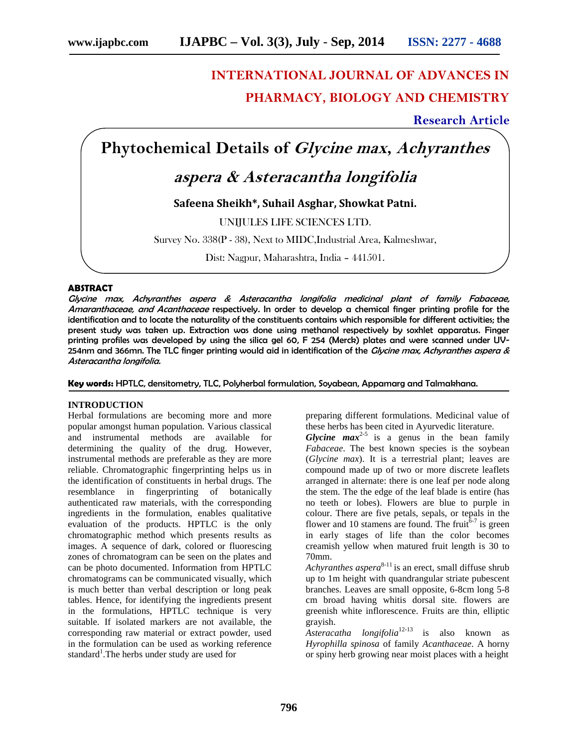# **INTERNATIONAL JOURNAL OF ADVANCES IN PHARMACY, BIOLOGY AND CHEMISTRY**

**Research Article**

**Phytochemical Details of** *Glycine max***,** *Achyranthes*

## *aspera & Asteracantha longifolia*

**Safeena Sheikh\*, Suhail Asghar, Showkat Patni.**

UNIJULES LIFE SCIENCES LTD.

Survey No. 338(P - 38), Next to MIDC,Industrial Area, Kalmeshwar,

Dist: Nagpur, Maharashtra, India – 441501.

#### **ABSTRACT**

*Glycine max, Achyranthes aspera & Asteracantha longifolia medicinal plant of family Fabaceae, Amaranthaceae, and Acanthaceae* respectively*.* In order to develop a chemical finger printing profile for the identification and to locate the naturality of the constituents contains which responsible for different activities; the present study was taken up. Extraction was done using methanol respectively by soxhlet apparatus. Finger printing profiles was developed by using the silica gel 60, F 254 (Merck) plates and were scanned under UV- 254nm and 366mn. The TLC finger printing would aid in identification of the *Glycine max, Achyranthes aspera & Asteracantha longifolia.*

**Key words:** HPTLC, densitometry, TLC, Polyherbal formulation, Soyabean, Appamarg and Talmakhana.

#### **INTRODUCTION**

Herbal formulations are becoming more and more popular amongst human population*.* Various classical and instrumental methods are available for determining the quality of the drug. However, instrumental methods are preferable as they are more reliable. Chromatographic fingerprinting helps us in the identification of constituents in herbal drugs. The resemblance in fingerprinting of botanically authenticated raw materials, with the corresponding ingredients in the formulation, enables qualitative evaluation of the products. HPTLC is the only chromatographic method which presents results as images. A sequence of dark, colored or fluorescing zones of chromatogram can be seen on the plates and can be photo documented. Information from HPTLC chromatograms can be communicated visually, which is much better than verbal description or long peak tables. Hence, for identifying the ingredients present in the formulations, HPTLC technique is very suitable. If isolated markers are not available, the corresponding raw material or extract powder, used in the formulation can be used as working reference standard<sup>1</sup>. The herbs under study are used for

preparing different formulations. Medicinal value of these herbs has been cited in Ayurvedic literature.

*Glycine*  $max^{2.5}$  is a genus in the bean family *Fabaceae*. The best known species is the soybean (*Glycine max*). It is a terrestrial plant; leaves are compound made up of two or more discrete leaflets arranged in alternate: there is one leaf per node along the stem. The the edge of the leaf blade is entire (has no teeth or lobes). Flowers are blue to purple in colour. There are five petals, sepals, or tepals in the flower and 10 stamens are found. The fruit  $\bar{6}$ <sup>-7</sup> is green in early stages of life than the color becomes creamish yellow when matured fruit length is 30 to 70mm.

*Achyranthes aspera*<sup>8-11</sup> is an erect, small diffuse shrub up to 1m height with quandrangular striate pubescent branches. Leaves are small opposite, 6-8cm long 5-8 cm broad having whitis dorsal site. flowers are greenish white inflorescence. Fruits are thin, elliptic grayish.

*Asteracatha longifolia*12-13 is also known as *Hyrophilla spinosa* of family *Acanthaceae*. A horny or spiny herb growing near moist places with a height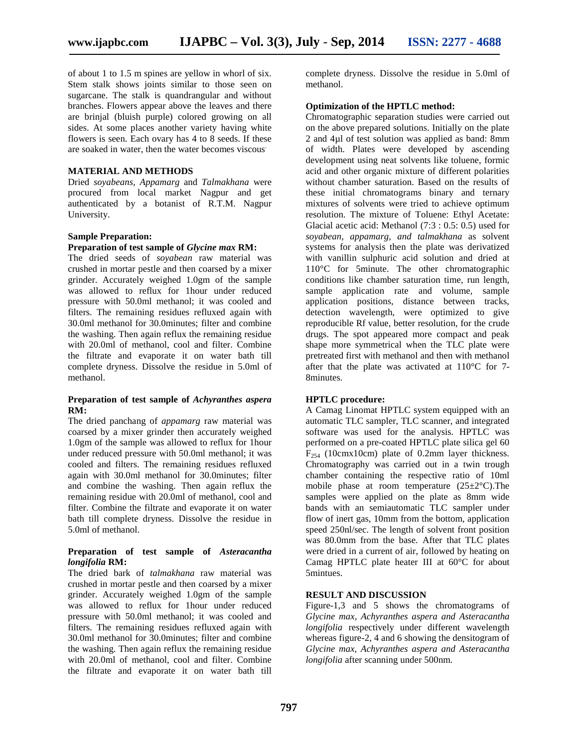of about 1 to 1.5 m spines are yellow in whorl of six. Stem stalk shows joints similar to those seen on sugarcane. The stalk is quandrangular and without branches. Flowers appear above the leaves and there are brinjal (bluish purple) colored growing on all sides. At some places another variety having white flowers is seen. Each ovary has 4 to 8 seeds. If these are soaked in water, then the water becomes viscous.

#### **MATERIAL AND METHODS**

Dried *soyabeans, Appamarg* and *Talmakhana* were procured from local market Nagpur and get authenticated by a botanist of R.T.M. Nagpur University.

#### **Sample Preparation:**

#### **Preparation of test sample of** *Glycine max* **RM:**

The dried seeds of *soyabean* raw material was crushed in mortar pestle and then coarsed by a mixer grinder. Accurately weighed 1.0gm of the sample was allowed to reflux for 1hour under reduced pressure with 50.0ml methanol; it was cooled and filters. The remaining residues refluxed again with 30.0ml methanol for 30.0minutes; filter and combine the washing. Then again reflux the remaining residue with 20.0ml of methanol, cool and filter. Combine the filtrate and evaporate it on water bath till complete dryness. Dissolve the residue in 5.0ml of methanol.

#### **Preparation of test sample of** *Achyranthes aspera* **RM:**

The dried panchang of*appamarg* raw material was coarsed by a mixer grinder then accurately weighed 1.0gm of the sample was allowed to reflux for 1hour under reduced pressure with 50.0ml methanol; it was cooled and filters. The remaining residues refluxed again with 30.0ml methanol for 30.0minutes; filter and combine the washing. Then again reflux the remaining residue with 20.0ml of methanol, cool and filter. Combine the filtrate and evaporate it on water bath till complete dryness. Dissolve the residue in 5.0ml of methanol.

#### **Preparation of test sample of** *Asteracantha longifolia* **RM:**

The dried bark of *talmakhana* raw material was crushed in mortar pestle and then coarsed by a mixer grinder. Accurately weighed 1.0gm of the sample was allowed to reflux for 1hour under reduced pressure with 50.0ml methanol; it was cooled and filters. The remaining residues refluxed again with 30.0ml methanol for 30.0minutes; filter and combine the washing. Then again reflux the remaining residue with 20.0ml of methanol, cool and filter. Combine the filtrate and evaporate it on water bath till complete dryness. Dissolve the residue in 5.0ml of methanol.

#### **Optimization of the HPTLC method:**

Chromatographic separation studies were carried out on the above prepared solutions. Initially on the plate 2 and 4µl of test solution was applied as band: 8mm of width. Plates were developed by ascending development using neat solvents like toluene, formic acid and other organic mixture of different polarities without chamber saturation. Based on the results of these initial chromatograms binary and ternary mixtures of solvents were tried to achieve optimum resolution. The mixture of Toluene: Ethyl Acetate: Glacial acetic acid: Methanol (7:3 : 0.5: 0.5) used for *soyabean*, *appamarg, and talmakhana* as solvent systems for analysis then the plate was derivatized with vanillin sulphuric acid solution and dried at 110°C for 5minute. The other chromatographic conditions like chamber saturation time, run length, sample application rate and volume, sample application positions, distance between tracks, detection wavelength, were optimized to give reproducible Rf value, better resolution, for the crude drugs. The spot appeared more compact and peak shape more symmetrical when the TLC plate were pretreated first with methanol and then with methanol after that the plate was activated at 110°C for 7- 8minutes.

#### **HPTLC procedure:**

A Camag Linomat HPTLC system equipped with an automatic TLC sampler, TLC scanner, and integrated software was used for the analysis. HPTLC was performed on a pre-coated HPTLC plate silica gel 60  $F_{254}$  (10cmx10cm) plate of 0.2mm layer thickness. Chromatography was carried out in a twin trough chamber containing the respective ratio of 10ml mobile phase at room temperature (25±2°C).The samples were applied on the plate as 8mm wide bands with an semiautomatic TLC sampler under flow of inert gas, 10mm from the bottom, application speed 250nl/sec. The length of solvent front position was 80.0mm from the base. After that TLC plates were dried in a current of air, followed by heating on Camag HPTLC plate heater III at 60°C for about 5mintues.

#### **RESULT AND DISCUSSION**

Figure-1,3 and 5 shows the chromatograms of *Glycine max, Achyranthes aspera and Asteracantha longifolia* respectively under different wavelength whereas figure-2, 4 and 6 showing the densitogram of *Glycine max, Achyranthes aspera and Asteracantha longifolia* after scanning under 500nm.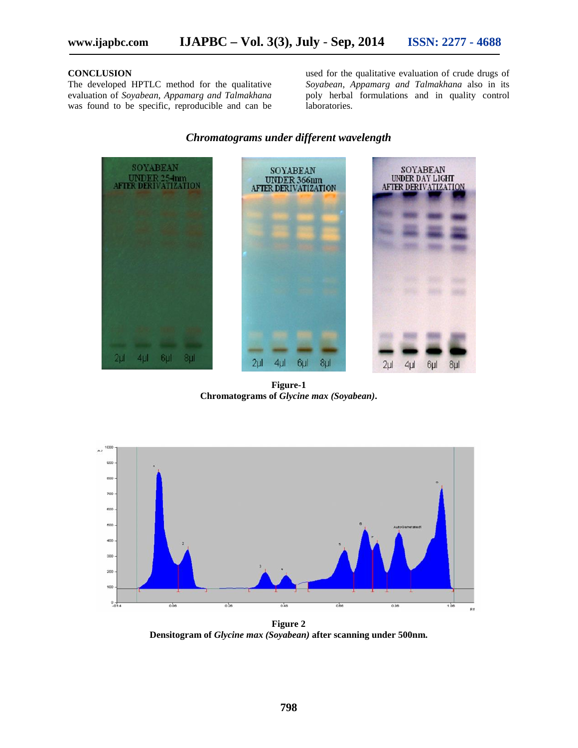#### **CONCLUSION**

The developed HPTLC method for the qualitative evaluation of *Soyabean*, *Appamarg and Talmakhana* was found to be specific, reproducible and can be

used for the qualitative evaluation of crude drugs of *Soyabean*, *Appamarg and Talmakhana* also in its poly herbal formulations and in quality control laboratories.

#### *Chromatograms under different wavelength*



**Figure-1 Chromatograms of** *Glycine max (Soyabean)***.**



**Figure 2 Densitogram of** *Glycine max (Soyabean)* **after scanning under 500nm.**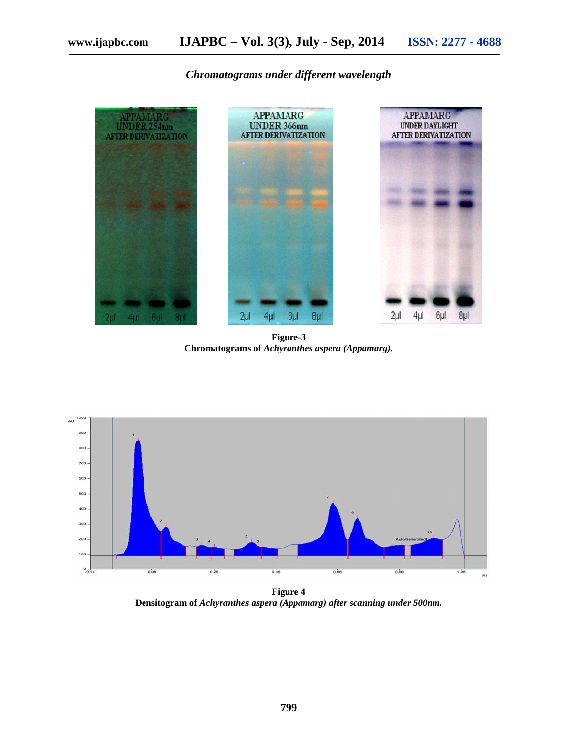*Chromatograms under different wavelength*



**Figure-3 Chromatograms of** *Achyranthes aspera (Appamarg).*



**Figure 4 Densitogram of** *Achyranthes aspera (Appamarg) after scanning under 500nm.*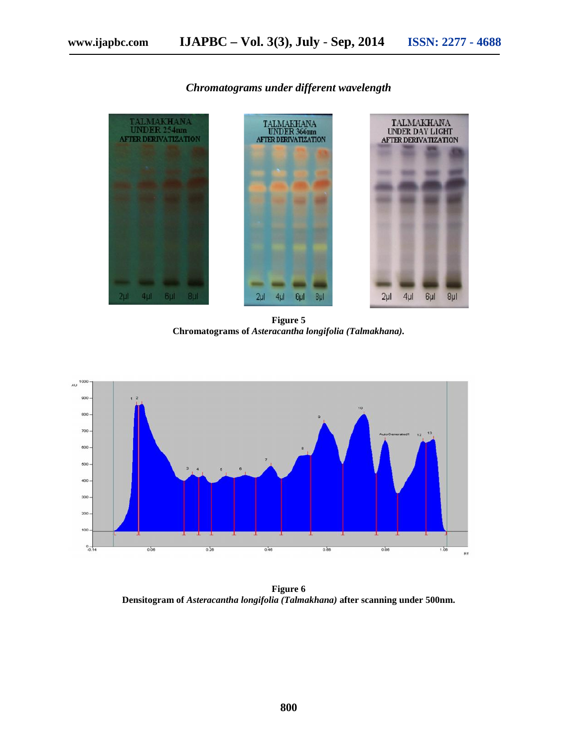### *Chromatograms under different wavelength*



**Figure 5 Chromatograms of** *Asteracantha longifolia (Talmakhana).*



**Figure 6 Densitogram of** *Asteracantha longifolia (Talmakhana)* **after scanning under 500nm.**